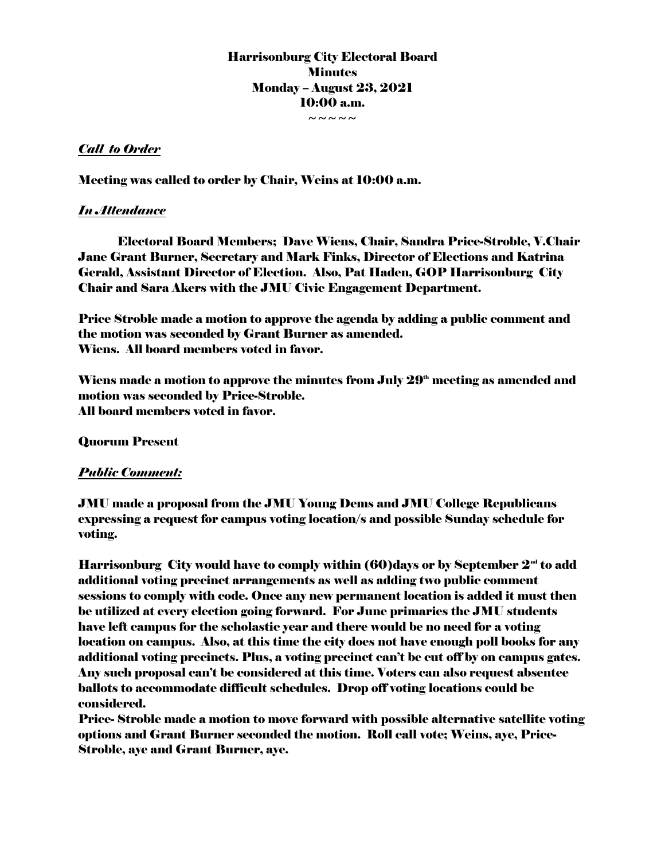Harrisonburg City Electoral Board **Minutes** Monday – August 23, 2021 10:00 a.m.  $\sim\sim\sim\sim\sim$ 

## *Call to Order*

Meeting was called to order by Chair, Weins at 10:00 a.m.

## *In Attendance*

Electoral Board Members; Dave Wiens, Chair, Sandra Price-Stroble, V.Chair Jane Grant Burner, Secretary and Mark Finks, Director of Elections and Katrina Gerald, Assistant Director of Election. Also, Pat Haden, GOP Harrisonburg City Chair and Sara Akers with the JMU Civic Engagement Department.

Price Stroble made a motion to approve the agenda by adding a public comment and the motion was seconded by Grant Burner as amended. Wiens. All board members voted in favor.

Wiens made a motion to approve the minutes from July  $29<sup>th</sup>$  meeting as amended and motion was seconded by Price-Stroble. All board members voted in favor.

Quorum Present

## *Public Comment:*

JMU made a proposal from the JMU Young Dems and JMU College Republicans expressing a request for campus voting location/s and possible Sunday schedule for voting.

Harrisonburg City would have to comply within  $(60)$ days or by September  $2<sup>nd</sup>$  to add additional voting precinct arrangements as well as adding two public comment sessions to comply with code. Once any new permanent location is added it must then be utilized at every election going forward. For June primaries the JMU students have left campus for the scholastic year and there would be no need for a voting location on campus. Also, at this time the city does not have enough poll books for any additional voting precincts. Plus, a voting precinct can't be cut off by on campus gates. Any such proposal can't be considered at this time. Voters can also request absentee ballots to accommodate difficult schedules. Drop off voting locations could be considered.

Price- Stroble made a motion to move forward with possible alternative satellite voting options and Grant Burner seconded the motion. Roll call vote; Weins, aye, Price-Stroble, aye and Grant Burner, aye.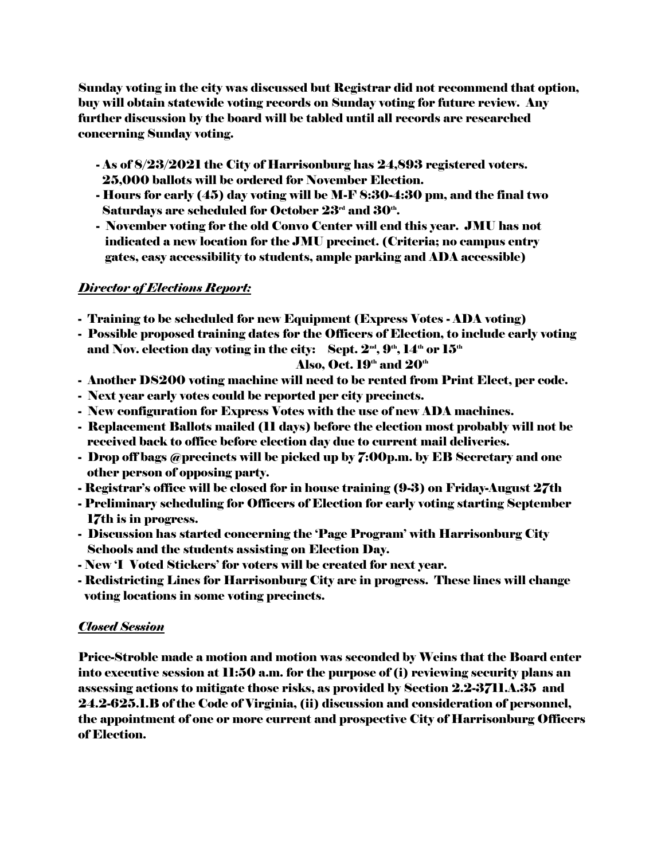Sunday voting in the city was discussed but Registrar did not recommend that option, buy will obtain statewide voting records on Sunday voting for future review. Any further discussion by the board will be tabled until all records are researched concerning Sunday voting.

- As of 8/23/2021 the City of Harrisonburg has 24,893 registered voters. 25,000 ballots will be ordered for November Election.
- Hours for early (45) day voting will be M-F 8:30-4:30 pm, and the final two Saturdays are scheduled for October  $23^{\scriptscriptstyle \rm rd}$  and  $30^{\scriptscriptstyle \rm th}$ .
	- November voting for the old Convo Center will end this year. JMU has not indicated a new location for the JMU precinct. (Criteria; no campus entry gates, easy accessibility to students, ample parking and ADA accessible)

## *Director of Elections Report:*

- Training to be scheduled for new Equipment (Express Votes ADA voting)
- Possible proposed training dates for the Officers of Election, to include early voting and Nov. election day voting in the city: Sept.  $2^{\omega}$ ,  $9^{\omega}$ ,  $14^{\omega}$  or  $15^{\omega}$

#### Also, Oct.  $19^{\text{th}}$  and  $20^{\text{th}}$

- Another DS200 voting machine will need to be rented from Print Elect, per code.
- Next year early votes could be reported per city precincts.
- New configuration for Express Votes with the use of new ADA machines.
- Replacement Ballots mailed (11 days) before the election most probably will not be received back to office before election day due to current mail deliveries.
- Drop off bags @precincts will be picked up by 7:00p.m. by EB Secretary and one other person of opposing party.
- Registrar's office will be closed for in house training (9-3) on Friday-August 27th
- Preliminary scheduling for Officers of Election for early voting starting September 17th is in progress.
- Discussion has started concerning the 'Page Program' with Harrisonburg City Schools and the students assisting on Election Day.
- New 'I Voted Stickers' for voters will be created for next year.
- Redistricting Lines for Harrisonburg City are in progress. These lines will change voting locations in some voting precincts.

#### *Closed Session*

Price-Stroble made a motion and motion was seconded by Weins that the Board enter into executive session at 11:50 a.m. for the purpose of (i) reviewing security plans an assessing actions to mitigate those risks, as provided by Section 2.2-3711.A.35 and 24.2-625.1.B of the Code of Virginia, (ii) discussion and consideration of personnel, the appointment of one or more current and prospective City of Harrisonburg Officers of Election.